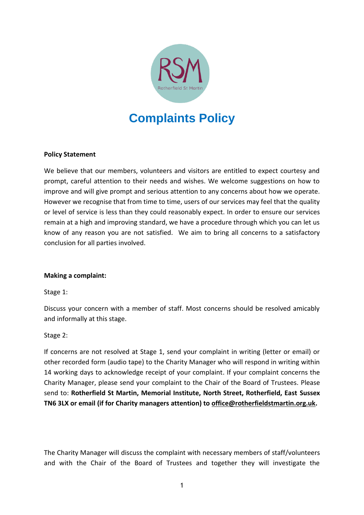

# **Complaints Policy**

### **Policy Statement**

We believe that our members, volunteers and visitors are entitled to expect courtesy and prompt, careful attention to their needs and wishes. We welcome suggestions on how to improve and will give prompt and serious attention to any concerns about how we operate. However we recognise that from time to time, users of our services may feel that the quality or level of service is less than they could reasonably expect. In order to ensure our services remain at a high and improving standard, we have a procedure through which you can let us know of any reason you are not satisfied. We aim to bring all concerns to a satisfactory conclusion for all parties involved.

#### **Making a complaint:**

Stage 1:

Discuss your concern with a member of staff. Most concerns should be resolved amicably and informally at this stage.

#### Stage 2:

If concerns are not resolved at Stage 1, send your complaint in writing (letter or email) or other recorded form (audio tape) to the Charity Manager who will respond in writing within 14 working days to acknowledge receipt of your complaint. If your complaint concerns the Charity Manager, please send your complaint to the Chair of the Board of Trustees. Please send to: **Rotherfield St Martin, Memorial Institute, North Street, Rotherfield, East Sussex TN6 3LX or email (if for Charity managers attention) to [office@rotherfieldstmartin.org.uk.](mailto:office@rotherfieldstmartin.org.uk)** 

The Charity Manager will discuss the complaint with necessary members of staff/volunteers and with the Chair of the Board of Trustees and together they will investigate the